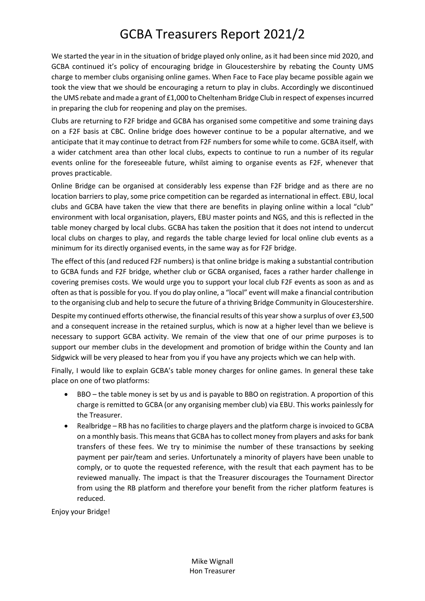## GCBA Treasurers Report 2021/2

We started the year in in the situation of bridge played only online, as it had been since mid 2020, and GCBA continued it's policy of encouraging bridge in Gloucestershire by rebating the County UMS charge to member clubs organising online games. When Face to Face play became possible again we took the view that we should be encouraging a return to play in clubs. Accordingly we discontinued the UMS rebate and made a grant of £1,000 to Cheltenham Bridge Club in respect of expenses incurred in preparing the club for reopening and play on the premises.

Clubs are returning to F2F bridge and GCBA has organised some competitive and some training days on a F2F basis at CBC. Online bridge does however continue to be a popular alternative, and we anticipate that it may continue to detract from F2F numbers for some while to come. GCBA itself, with a wider catchment area than other local clubs, expects to continue to run a number of its regular events online for the foreseeable future, whilst aiming to organise events as F2F, whenever that proves practicable.

Online Bridge can be organised at considerably less expense than F2F bridge and as there are no location barriers to play, some price competition can be regarded as international in effect. EBU, local clubs and GCBA have taken the view that there are benefits in playing online within a local "club" environment with local organisation, players, EBU master points and NGS, and this is reflected in the table money charged by local clubs. GCBA has taken the position that it does not intend to undercut local clubs on charges to play, and regards the table charge levied for local online club events as a minimum for its directly organised events, in the same way as for F2F bridge.

The effect of this (and reduced F2F numbers) is that online bridge is making a substantial contribution to GCBA funds and F2F bridge, whether club or GCBA organised, faces a rather harder challenge in covering premises costs. We would urge you to support your local club F2F events as soon as and as often as that is possible for you. If you do play online, a "local" event will make a financial contribution to the organising club and help to secure the future of a thriving Bridge Community in Gloucestershire.

Despite my continued efforts otherwise, the financial results of this year show a surplus of over £3,500 and a consequent increase in the retained surplus, which is now at a higher level than we believe is necessary to support GCBA activity. We remain of the view that one of our prime purposes is to support our member clubs in the development and promotion of bridge within the County and Ian Sidgwick will be very pleased to hear from you if you have any projects which we can help with.

Finally, I would like to explain GCBA's table money charges for online games. In general these take place on one of two platforms:

- BBO the table money is set by us and is payable to BBO on registration. A proportion of this charge is remitted to GCBA (or any organising member club) via EBU. This works painlessly for the Treasurer.
- Realbridge RB has no facilities to charge players and the platform charge is invoiced to GCBA on a monthly basis. This means that GCBA has to collect money from players and asks for bank transfers of these fees. We try to minimise the number of these transactions by seeking payment per pair/team and series. Unfortunately a minority of players have been unable to comply, or to quote the requested reference, with the result that each payment has to be reviewed manually. The impact is that the Treasurer discourages the Tournament Director from using the RB platform and therefore your benefit from the richer platform features is reduced.

Enjoy your Bridge!